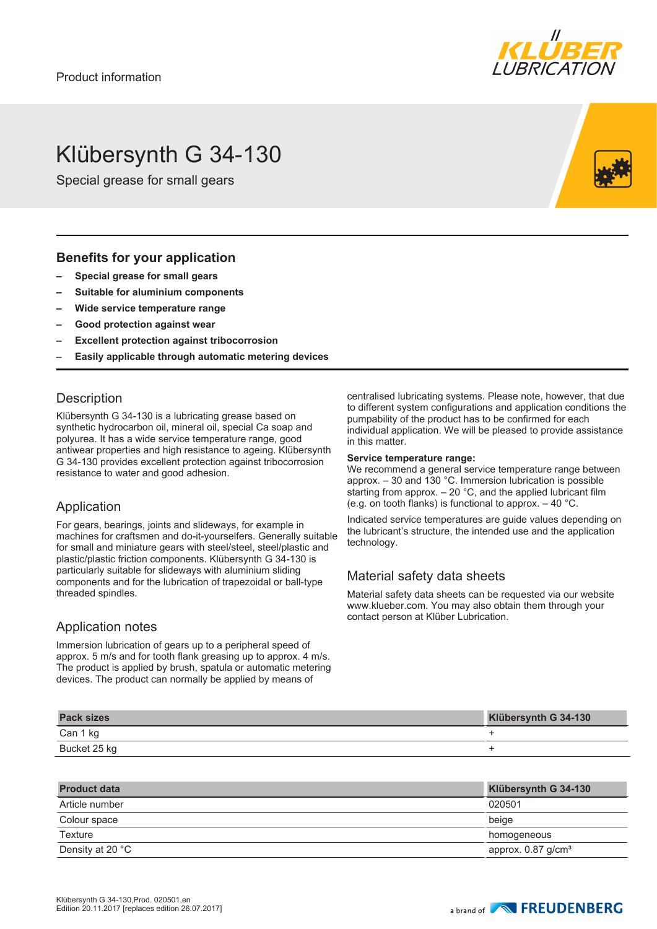

# Klübersynth G 34-130

Special grease for small gears

#### **Benefits for your application**

- **– Special grease for small gears**
- **– Suitable for aluminium components**
- **– Wide service temperature range**
- **– Good protection against wear**
- **– Excellent protection against tribocorrosion**
- **– Easily applicable through automatic metering devices**

### **Description**

Klübersynth G 34-130 is a lubricating grease based on synthetic hydrocarbon oil, mineral oil, special Ca soap and polyurea. It has a wide service temperature range, good antiwear properties and high resistance to ageing. Klübersynth G 34-130 provides excellent protection against tribocorrosion resistance to water and good adhesion.

#### Application

For gears, bearings, joints and slideways, for example in machines for craftsmen and do-it-yourselfers. Generally suitable for small and miniature gears with steel/steel, steel/plastic and plastic/plastic friction components. Klübersynth G 34-130 is particularly suitable for slideways with aluminium sliding components and for the lubrication of trapezoidal or ball-type threaded spindles.

#### Application notes

Immersion lubrication of gears up to a peripheral speed of approx. 5 m/s and for tooth flank greasing up to approx. 4 m/s. The product is applied by brush, spatula or automatic metering devices. The product can normally be applied by means of

centralised lubricating systems. Please note, however, that due to different system configurations and application conditions the pumpability of the product has to be confirmed for each individual application. We will be pleased to provide assistance in this matter.

#### **Service temperature range:**

We recommend a general service temperature range between approx. – 30 and 130 °C. Immersion lubrication is possible starting from approx.  $-20$  °C, and the applied lubricant film (e.g. on tooth flanks) is functional to approx.  $-40$  °C.

Indicated service temperatures are guide values depending on the lubricant's structure, the intended use and the application technology.

## Material safety data sheets

Material safety data sheets can be requested via our website www.klueber.com. You may also obtain them through your contact person at Klüber Lubrication.

| <b>Pack sizes</b> | Klübersynth G 34-130 |
|-------------------|----------------------|
| Can 1 kg          |                      |
| Bucket 25 kg      |                      |

| <b>Product data</b> | Klübersynth G 34-130             |
|---------------------|----------------------------------|
| Article number      | 020501                           |
| Colour space        | beige                            |
| Texture             | homogeneous                      |
| Density at 20 °C    | approx. $0.87$ g/cm <sup>3</sup> |